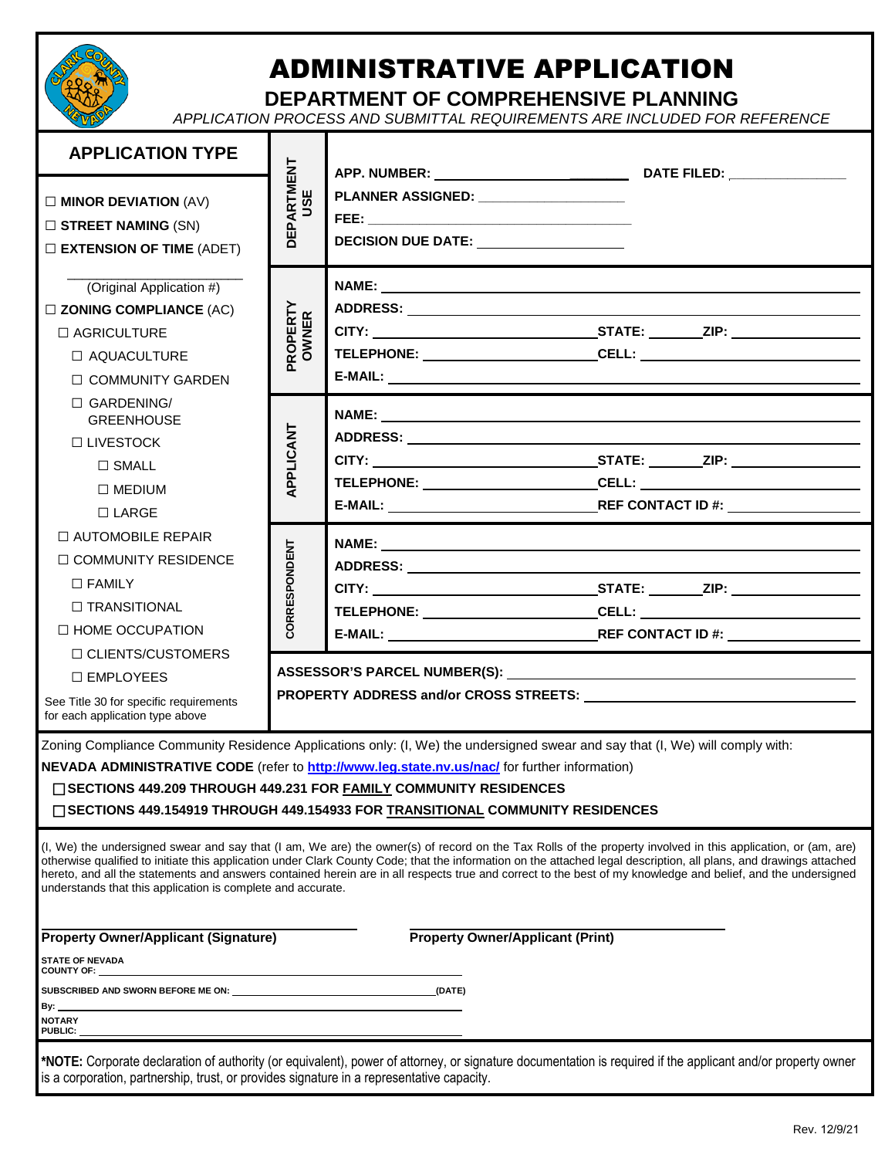

## ADMINISTRATIVE APPLICATION

**DEPARTMENT OF COMPREHENSIVE PLANNING**

*APPLICATION PROCESS AND SUBMITTAL REQUIREMENTS ARE INCLUDED FOR REFERENCE*

| <b>APPLICATION TYPE</b>                                                                   |                          | APP. NUMBER: _____________________________<br>DATE FILED: _________________                                                                                                                                                                                                                                                                                                            |  |  |  |  |  |  |  |  |  |
|-------------------------------------------------------------------------------------------|--------------------------|----------------------------------------------------------------------------------------------------------------------------------------------------------------------------------------------------------------------------------------------------------------------------------------------------------------------------------------------------------------------------------------|--|--|--|--|--|--|--|--|--|
| $\square$ MINOR DEVIATION (AV)                                                            | <b>DEPARTMENT</b><br>USE | PLANNER ASSIGNED: _____________________                                                                                                                                                                                                                                                                                                                                                |  |  |  |  |  |  |  |  |  |
| $\square$ STREET NAMING (SN)                                                              |                          |                                                                                                                                                                                                                                                                                                                                                                                        |  |  |  |  |  |  |  |  |  |
| $\square$ EXTENSION OF TIME (ADET)                                                        |                          | DECISION DUE DATE: ___________________                                                                                                                                                                                                                                                                                                                                                 |  |  |  |  |  |  |  |  |  |
| (Original Application #)                                                                  |                          | NAME: <u>the contract of the contract of the contract of the contract of the contract of the contract of the contract of the contract of the contract of the contract of the contract of the contract of the contract of the con</u>                                                                                                                                                   |  |  |  |  |  |  |  |  |  |
| $\square$ ZONING COMPLIANCE (AC)                                                          | <b>ROPERTY</b><br>OWNER  |                                                                                                                                                                                                                                                                                                                                                                                        |  |  |  |  |  |  |  |  |  |
| $\Box$ AGRICULTURE                                                                        |                          |                                                                                                                                                                                                                                                                                                                                                                                        |  |  |  |  |  |  |  |  |  |
| $\Box$ AQUACULTURE                                                                        |                          | TELEPHONE: ______________________________CELL: _________________________________                                                                                                                                                                                                                                                                                                       |  |  |  |  |  |  |  |  |  |
| □ COMMUNITY GARDEN                                                                        |                          |                                                                                                                                                                                                                                                                                                                                                                                        |  |  |  |  |  |  |  |  |  |
| $\Box$ GARDENING/<br><b>GREENHOUSE</b>                                                    |                          |                                                                                                                                                                                                                                                                                                                                                                                        |  |  |  |  |  |  |  |  |  |
| $\Box$ LIVESTOCK                                                                          |                          |                                                                                                                                                                                                                                                                                                                                                                                        |  |  |  |  |  |  |  |  |  |
| $\Box$ SMALL                                                                              | APPLICANT                |                                                                                                                                                                                                                                                                                                                                                                                        |  |  |  |  |  |  |  |  |  |
| $\square$ MEDIUM                                                                          |                          | TELEPHONE: _____________________________CELL: __________________________________                                                                                                                                                                                                                                                                                                       |  |  |  |  |  |  |  |  |  |
| $\Box$ LARGE                                                                              |                          |                                                                                                                                                                                                                                                                                                                                                                                        |  |  |  |  |  |  |  |  |  |
| $\Box$ AUTOMOBILE REPAIR                                                                  |                          |                                                                                                                                                                                                                                                                                                                                                                                        |  |  |  |  |  |  |  |  |  |
| $\Box$ COMMUNITY RESIDENCE                                                                |                          |                                                                                                                                                                                                                                                                                                                                                                                        |  |  |  |  |  |  |  |  |  |
| $\Box$ FAMILY                                                                             |                          |                                                                                                                                                                                                                                                                                                                                                                                        |  |  |  |  |  |  |  |  |  |
| $\Box$ TRANSITIONAL                                                                       | CORRESPONDENT            | TELEPHONE: _____________________________CELL: __________________________________                                                                                                                                                                                                                                                                                                       |  |  |  |  |  |  |  |  |  |
| $\Box$ HOME OCCUPATION<br>$\Box$ CLIENTS/CUSTOMERS                                        |                          |                                                                                                                                                                                                                                                                                                                                                                                        |  |  |  |  |  |  |  |  |  |
| □ EMPLOYEES                                                                               |                          |                                                                                                                                                                                                                                                                                                                                                                                        |  |  |  |  |  |  |  |  |  |
| See Title 30 for specific requirements                                                    |                          |                                                                                                                                                                                                                                                                                                                                                                                        |  |  |  |  |  |  |  |  |  |
| for each application type above                                                           |                          |                                                                                                                                                                                                                                                                                                                                                                                        |  |  |  |  |  |  |  |  |  |
|                                                                                           |                          | Zoning Compliance Community Residence Applications only: (I, We) the undersigned swear and say that (I, We) will comply with:<br>NEVADA ADMINISTRATIVE CODE (refer to http://www.leg.state.nv.us/nac/ for further information)<br>□ SECTIONS 449.209 THROUGH 449.231 FOR FAMILY COMMUNITY RESIDENCES<br>□ SECTIONS 449.154919 THROUGH 449.154933 FOR TRANSITIONAL COMMUNITY RESIDENCES |  |  |  |  |  |  |  |  |  |
|                                                                                           |                          | (I, We) the undersigned swear and say that (I am, We are) the owner(s) of record on the Tax Rolls of the property involved in this application, or (am, are)                                                                                                                                                                                                                           |  |  |  |  |  |  |  |  |  |
| understands that this application is complete and accurate.                               |                          | otherwise qualified to initiate this application under Clark County Code; that the information on the attached legal description, all plans, and drawings attached<br>hereto, and all the statements and answers contained herein are in all respects true and correct to the best of my knowledge and belief, and the undersigned                                                     |  |  |  |  |  |  |  |  |  |
| <b>Property Owner/Applicant (Signature)</b><br><b>Property Owner/Applicant (Print)</b>    |                          |                                                                                                                                                                                                                                                                                                                                                                                        |  |  |  |  |  |  |  |  |  |
| <b>STATE OF NEVADA</b><br><b>COUNTY OF:</b>                                               |                          |                                                                                                                                                                                                                                                                                                                                                                                        |  |  |  |  |  |  |  |  |  |
| (DATE)                                                                                    |                          |                                                                                                                                                                                                                                                                                                                                                                                        |  |  |  |  |  |  |  |  |  |
| By:<br><b>NOTARY</b><br>PUBLIC:                                                           |                          |                                                                                                                                                                                                                                                                                                                                                                                        |  |  |  |  |  |  |  |  |  |
|                                                                                           |                          |                                                                                                                                                                                                                                                                                                                                                                                        |  |  |  |  |  |  |  |  |  |
| is a corporation, partnership, trust, or provides signature in a representative capacity. |                          | *NOTE: Corporate declaration of authority (or equivalent), power of attorney, or signature documentation is required if the applicant and/or property owner                                                                                                                                                                                                                            |  |  |  |  |  |  |  |  |  |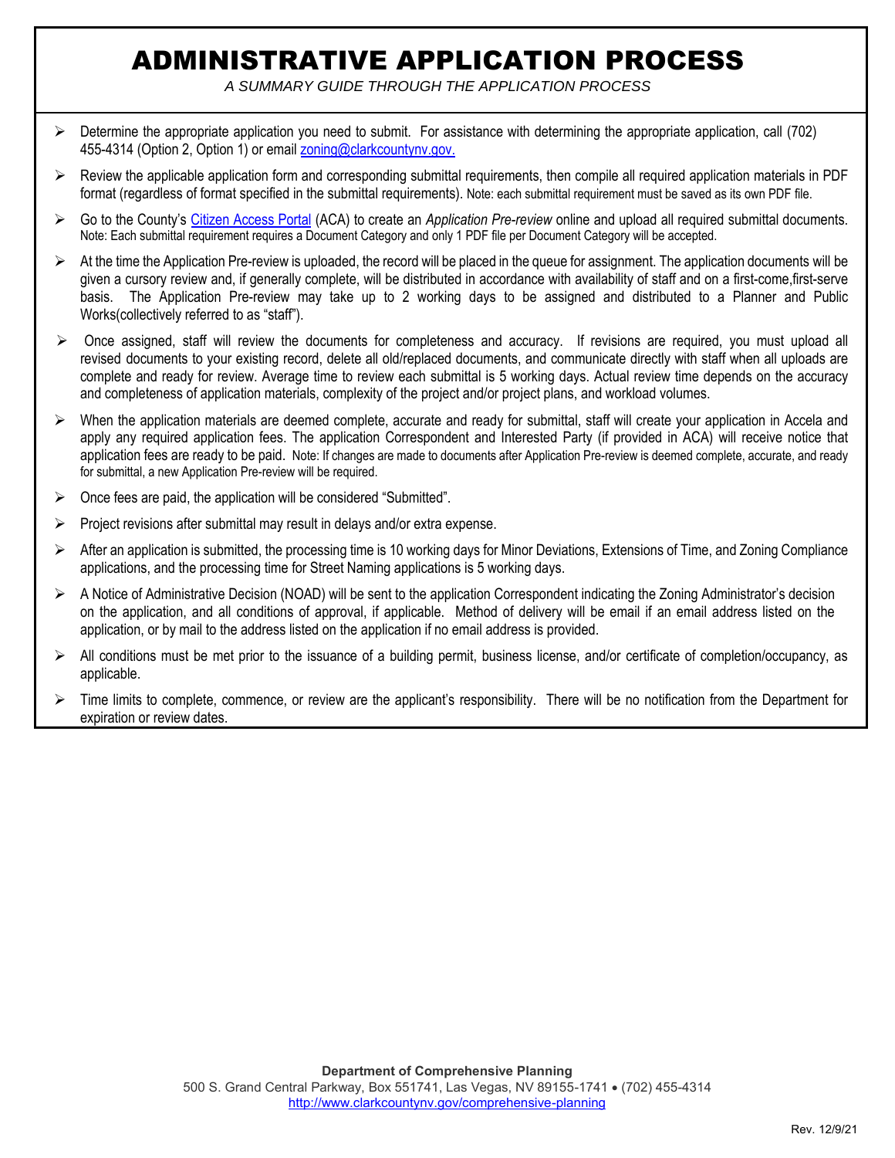## ADMINISTRATIVE APPLICATION PROCESS

*A SUMMARY GUIDE THROUGH THE APPLICATION PROCESS* 

- $\triangleright$  Determine the appropriate application you need to submit. For assistance with determining the appropriate application, call (702) 455-4314 (Option 2, Option 1) or email zoning@clarkcountynv.gov.
- $\triangleright$  Review the applicable application form and corresponding submittal requirements, then compile all required application materials in PDF format (regardless of format specified in the submittal requirements). Note: each submittal requirement must be saved as its own PDF file.
- Go to the County's Citizen Access Portal (ACA) to create an *Application Pre-review* online and upload all required submittal documents. Note: Each submittal requirement requires a Document Category and only 1 PDF file per Document Category will be accepted.
- At the time the Application Pre-review is uploaded, the record will be placed in the queue for assignment. The application documents will be given a cursory review and, if generally complete, will be distributed in accordance with availability of staff and on a first-come,first-serve basis. The Application Pre-review may take up to 2 working days to be assigned and distributed to a Planner and Public Works(collectively referred to as "staff").
- $\triangleright$  Once assigned, staff will review the documents for completeness and accuracy. If revisions are required, you must upload all revised documents to your existing record, delete all old/replaced documents, and communicate directly with staff when all uploads are complete and ready for review. Average time to review each submittal is 5 working days. Actual review time depends on the accuracy and completeness of application materials, complexity of the project and/or project plans, and workload volumes.
- $\triangleright$  When the application materials are deemed complete, accurate and ready for submittal, staff will create your application in Accela and apply any required application fees. The application Correspondent and Interested Party (if provided in ACA) will receive notice that application fees are ready to be paid. Note: If changes are made to documents after Application Pre-review is deemed complete, accurate, and ready for submittal, a new Application Pre-review will be required.
- Once fees are paid, the application will be considered "Submitted".
- $\triangleright$  Project revisions after submittal may result in delays and/or extra expense.
- After an application is submitted, the processing time is 10 working days for Minor Deviations, Extensions of Time, and Zoning Compliance applications, and the processing time for Street Naming applications is 5 working days.
- A Notice of Administrative Decision (NOAD) will be sent to the application Correspondent indicating the Zoning Administrator's decision on the application, and all conditions of approval, if applicable. Method of delivery will be email if an email address listed on the application, or by mail to the address listed on the application if no email address is provided.
- All conditions must be met prior to the issuance of a building permit, business license, and/or certificate of completion/occupancy, as applicable.
- $\triangleright$  Time limits to complete, commence, or review are the applicant's responsibility. There will be no notification from the Department for expiration or review dates.